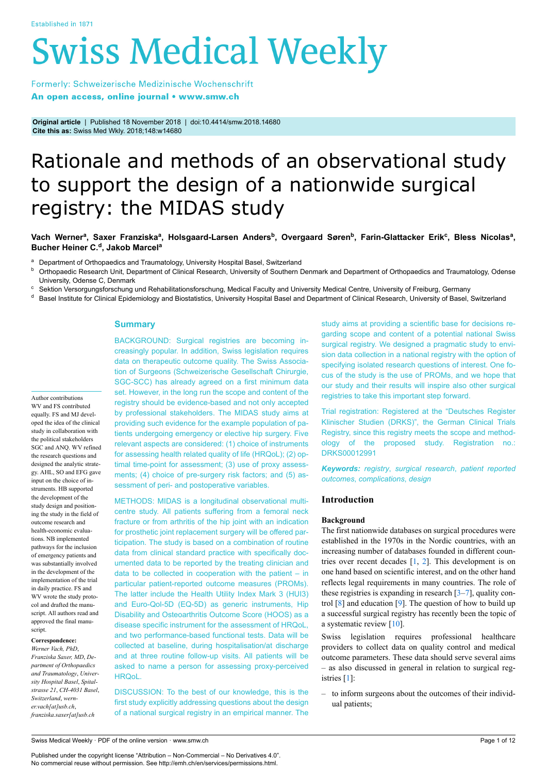# **Swiss Medical Weekly**

Formerly: Schweizerische Medizinische Wochenschrift An open access, online journal • www.smw.ch

**Original article** | Published 18 November 2018 | doi:10.4414/smw.2018.14680 **Cite this as:** Swiss Med Wkly. 2018;148:w14680

## Rationale and methods of an observational study to support the design of a nationwide surgical registry: the MIDAS study

### Vach Werner<sup>a</sup>, Saxer Franziska<sup>a</sup>, Holsgaard-Larsen Anders<sup>b</sup>, Overgaard Søren<sup>b</sup>, Farin-Glattacker Erik<sup>c</sup>, Bless Nicolas<sup>a</sup>, **Bucher Heiner C.<sup>d</sup> , Jakob Marcel<sup>a</sup>**

<sup>a</sup> Department of Orthopaedics and Traumatology, University Hospital Basel, Switzerland<br><sup>b</sup> Orthopaedic Besearch Unit, Department of Clinical Besearch, University of Southern E

<sup>b</sup> Orthopaedic Research Unit, Department of Clinical Research, University of Southern Denmark and Department of Orthopaedics and Traumatology, Odense University, Odense C, Denmark

<sup>c</sup> Sektion Versorgungsforschung und Rehabilitationsforschung, Medical Faculty and University Medical Centre, University of Freiburg, Germany

d Basel Institute for Clinical Epidemiology and Biostatistics, University Hospital Basel and Department of Clinical Research, University of Basel, Switzerland

#### **Summary**

BACKGROUND: Surgical registries are becoming increasingly popular. In addition, Swiss legislation requires data on therapeutic outcome quality. The Swiss Association of Surgeons (Schweizerische Gesellschaft Chirurgie, SGC-SCC) has already agreed on a first minimum data set. However, in the long run the scope and content of the registry should be evidence-based and not only accepted by professional stakeholders. The MIDAS study aims at providing such evidence for the example population of patients undergoing emergency or elective hip surgery. Five relevant aspects are considered: (1) choice of instruments for assessing health related quality of life (HRQoL); (2) optimal time-point for assessment; (3) use of proxy assessments; (4) choice of pre-surgery risk factors; and (5) assessment of peri- and postoperative variables.

METHODS: MIDAS is a longitudinal observational multicentre study. All patients suffering from a femoral neck fracture or from arthritis of the hip joint with an indication for prosthetic joint replacement surgery will be offered participation. The study is based on a combination of routine data from clinical standard practice with specifically documented data to be reported by the treating clinician and data to be collected in cooperation with the patient – in particular patient-reported outcome measures (PROMs). The latter include the Health Utility Index Mark 3 (HUI3) and Euro-Qol-5D (EQ-5D) as generic instruments, Hip Disability and Osteoarthritis Outcome Score (HOOS) as a disease specific instrument for the assessment of HRQoL, and two performance-based functional tests. Data will be collected at baseline, during hospitalisation/at discharge and at three routine follow-up visits. All patients will be asked to name a person for assessing proxy-perceived HRQoL.

DISCUSSION: To the best of our knowledge, this is the first study explicitly addressing questions about the design of a national surgical registry in an empirical manner. The study aims at providing a scientific base for decisions regarding scope and content of a potential national Swiss surgical registry. We designed a pragmatic study to envision data collection in a national registry with the option of specifying isolated research questions of interest. One focus of the study is the use of PROMs, and we hope that our study and their results will inspire also other surgical registries to take this important step forward.

Trial registration: Registered at the "Deutsches Register Klinischer Studien (DRKS)", the German Clinical Trials Registry, since this registry meets the scope and methodology of the proposed study. Registration no.: DRKS00012991

*Keywords: registry*, *surgical research*, *patient reported outcomes*, *complications*, *design*

#### **Introduction**

#### **Background**

The first nationwide databases on surgical procedures were established in the 1970s in the Nordic countries, with an increasing number of databases founded in different countries over recent decades  $[1, 2]$  $[1, 2]$  $[1, 2]$  $[1, 2]$ . This development is on one hand based on scientific interest, and on the other hand reflects legal requirements in many countries. The role of these registries is expanding in research  $[3-7]$  $[3-7]$ , quality control [[8](#page-8-1)] and education [\[9\]](#page-8-2). The question of how to build up a successful surgical registry has recently been the topic of a systematic review [\[10](#page-8-3)].

Swiss legislation requires professional healthcare providers to collect data on quality control and medical outcome parameters. These data should serve several aims – as also discussed in general in relation to surgical registries [[1](#page-7-0)]:

– to inform surgeons about the outcomes of their individual patients;

gy. AHL, SO and EFG gave input on the choice of instruments. HB supported the development of the study design and positioning the study in the field of outcome research and health-economic evaluations. NB implemented pathways for the inclusion of emergency patients and was substantially involved in the development of the implementation of the trial in daily practice. FS and WV wrote the study protocol and drafted the manuscript. All authors read and approved the final manuscript. **Correspondence:** *Werner Vach, PhD*,

Author contributions WV and FS contributed equally. FS and MJ developed the idea of the clinical study in collaboration with the political stakeholders SGC and ANQ. WV refined the research questions and designed the analytic strate-

*Franziska Saxer, MD*, *Department of Orthopaedics and Traumatology*, *University Hospital Basel*, *Spitalstrasse 21*, *CH-4031 Basel*, *Switzerland*, *werner.vach[at]usb.ch*, *franziska.saxer[at]usb.ch*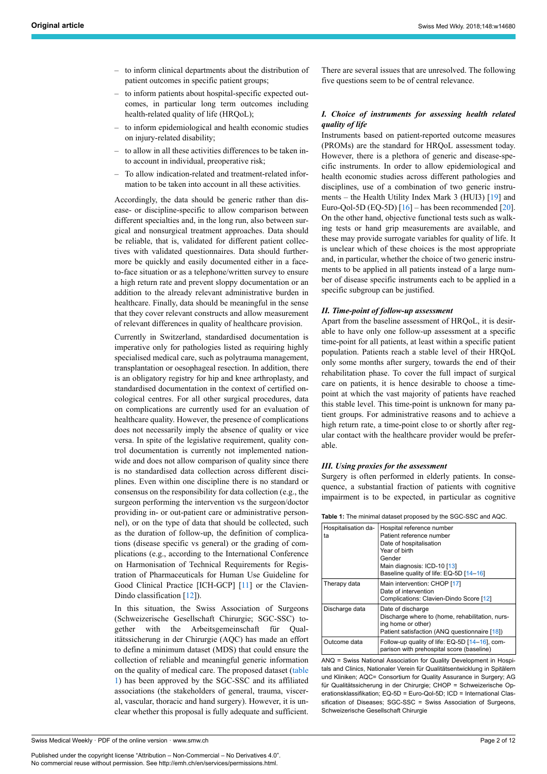- to inform clinical departments about the distribution of patient outcomes in specific patient groups;
- to inform patients about hospital-specific expected outcomes, in particular long term outcomes including health-related quality of life (HRQoL);
- to inform epidemiological and health economic studies on injury-related disability;
- to allow in all these activities differences to be taken into account in individual, preoperative risk;
- To allow indication-related and treatment-related information to be taken into account in all these activities.

Accordingly, the data should be generic rather than disease- or discipline-specific to allow comparison between different specialties and, in the long run, also between surgical and nonsurgical treatment approaches. Data should be reliable, that is, validated for different patient collectives with validated questionnaires. Data should furthermore be quickly and easily documented either in a faceto-face situation or as a telephone/written survey to ensure a high return rate and prevent sloppy documentation or an addition to the already relevant administrative burden in healthcare. Finally, data should be meaningful in the sense that they cover relevant constructs and allow measurement of relevant differences in quality of healthcare provision.

Currently in Switzerland, standardised documentation is imperative only for pathologies listed as requiring highly specialised medical care, such as polytrauma management, transplantation or oesophageal resection. In addition, there is an obligatory registry for hip and knee arthroplasty, and standardised documentation in the context of certified oncological centres. For all other surgical procedures, data on complications are currently used for an evaluation of healthcare quality. However, the presence of complications does not necessarily imply the absence of quality or vice versa. In spite of the legislative requirement, quality control documentation is currently not implemented nationwide and does not allow comparison of quality since there is no standardised data collection across different disciplines. Even within one discipline there is no standard or consensus on the responsibility for data collection (e.g., the surgeon performing the intervention vs the surgeon/doctor providing in- or out-patient care or administrative personnel), or on the type of data that should be collected, such as the duration of follow-up, the definition of complications (disease specific vs general) or the grading of complications (e.g., according to the International Conference on Harmonisation of Technical Requirements for Registration of Pharmaceuticals for Human Use Guideline for Good Clinical Practice [ICH-GCP] [[11\]](#page-8-4) or the Clavien-Dindo classification [\[12](#page-8-5)]).

<span id="page-1-0"></span>In this situation, the Swiss Association of Surgeons (Schweizerische Gesellschaft Chirurgie; SGC-SSC) together with the Arbeitsgemeinschaft für Qualitätssicherung in der Chirurgie (AQC) has made an effort to define a minimum dataset (MDS) that could ensure the collection of reliable and meaningful generic information on the quality of medical care. The proposed dataset [\(table](#page-1-0) [1](#page-1-0)) has been approved by the SGC-SSC and its affiliated associations (the stakeholders of general, trauma, visceral, vascular, thoracic and hand surgery). However, it is unclear whether this proposal is fully adequate and sufficient. There are several issues that are unresolved. The following five questions seem to be of central relevance.

#### *I. Choice of instruments for assessing health related quality of life*

Instruments based on patient-reported outcome measures (PROMs) are the standard for HRQoL assessment today. However, there is a plethora of generic and disease-specific instruments. In order to allow epidemiological and health economic studies across different pathologies and disciplines, use of a combination of two generic instruments – the Health Utility Index Mark 3 (HUI3) [\[19](#page-8-6)] and Euro-Qol-5D (EQ-5D)  $[16]$  $[16]$  – has been recommended [\[20](#page-8-8)]. On the other hand, objective functional tests such as walking tests or hand grip measurements are available, and these may provide surrogate variables for quality of life. It is unclear which of these choices is the most appropriate and, in particular, whether the choice of two generic instruments to be applied in all patients instead of a large number of disease specific instruments each to be applied in a specific subgroup can be justified.

#### *II. Time-point of follow-up assessment*

Apart from the baseline assessment of HRQoL, it is desirable to have only one follow-up assessment at a specific time-point for all patients, at least within a specific patient population. Patients reach a stable level of their HRQoL only some months after surgery, towards the end of their rehabilitation phase. To cover the full impact of surgical care on patients, it is hence desirable to choose a timepoint at which the vast majority of patients have reached this stable level. This time-point is unknown for many patient groups. For administrative reasons and to achieve a high return rate, a time-point close to or shortly after regular contact with the healthcare provider would be preferable.

#### *III. Using proxies for the assessment*

Surgery is often performed in elderly patients. In consequence, a substantial fraction of patients with cognitive impairment is to be expected, in particular as cognitive

| <b>Table 1:</b> The minimal dataset proposed by the SGC-SSC and AQC. |                                                                                                                                                                                       |  |  |  |
|----------------------------------------------------------------------|---------------------------------------------------------------------------------------------------------------------------------------------------------------------------------------|--|--|--|
| Hospitalisation da-<br>ta                                            | Hospital reference number<br>Patient reference number<br>Date of hospitalisation<br>Year of birth<br>Gender<br>Main diagnosis: ICD-10 [13]<br>Baseline quality of life: EQ-5D [14-16] |  |  |  |
| Therapy data                                                         | Main intervention: CHOP [17]<br>Date of intervention<br>Complications: Clavien-Dindo Score [12]                                                                                       |  |  |  |
| Discharge data                                                       | Date of discharge<br>Discharge where to (home, rehabilitation, nurs-<br>ing home or other)<br>Patient satisfaction (ANQ questionnaire [18])                                           |  |  |  |
| Outcome data                                                         | Follow-up quality of life: EQ-5D [14-16], com-<br>parison with prehospital score (baseline)                                                                                           |  |  |  |

ANQ = Swiss National Association for Quality Development in Hospitals and Clinics, Nationaler Verein für Qualitätsentwicklung in Spitälern und Kliniken; AQC= Consortium for Quality Assurance in Surgery; AG für Qualitätssicherung in der Chirurgie; CHOP = Schweizerische Operationsklassifikation; EQ-5D = Euro-Qol-5D; ICD = International Classification of Diseases; SGC-SSC = Swiss Association of Surgeons, Schweizerische Gesellschaft Chirurgie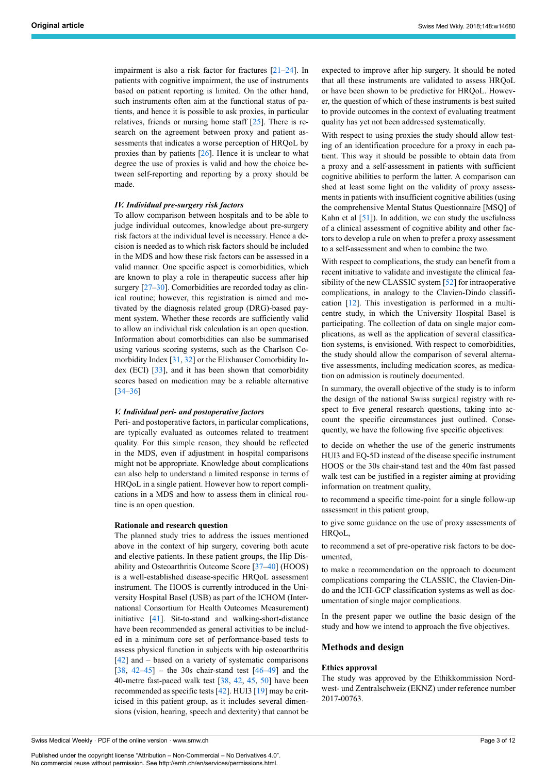impairment is also a risk factor for fractures [\[21](#page-8-13)–[24\]](#page-8-14). In patients with cognitive impairment, the use of instruments based on patient reporting is limited. On the other hand, such instruments often aim at the functional status of patients, and hence it is possible to ask proxies, in particular relatives, friends or nursing home staff [\[25](#page-8-15)]. There is research on the agreement between proxy and patient assessments that indicates a worse perception of HRQoL by proxies than by patients [[26\]](#page-8-16). Hence it is unclear to what degree the use of proxies is valid and how the choice between self-reporting and reporting by a proxy should be made.

#### *IV. Individual pre-surgery risk factors*

To allow comparison between hospitals and to be able to judge individual outcomes, knowledge about pre-surgery risk factors at the individual level is necessary. Hence a decision is needed as to which risk factors should be included in the MDS and how these risk factors can be assessed in a valid manner. One specific aspect is comorbidities, which are known to play a role in therapeutic success after hip surgery [[27](#page-8-17)[–30](#page-8-2)]. Comorbidities are recorded today as clinical routine; however, this registration is aimed and motivated by the diagnosis related group (DRG)-based payment system. Whether these records are sufficiently valid to allow an individual risk calculation is an open question. Information about comorbidities can also be summarised using various scoring systems, such as the Charlson Comorbidity Index [[31,](#page-8-18) [32\]](#page-8-19) or the Elixhauser Comorbidity Index (ECI) [\[33](#page-8-20)], and it has been shown that comorbidity scores based on medication may be a reliable alternative [[34–](#page-8-21)[36](#page-8-22)]

#### *V. Individual peri- and postoperative factors*

Peri- and postoperative factors, in particular complications, are typically evaluated as outcomes related to treatment quality. For this simple reason, they should be reflected in the MDS, even if adjustment in hospital comparisons might not be appropriate. Knowledge about complications can also help to understand a limited response in terms of HRQoL in a single patient. However how to report complications in a MDS and how to assess them in clinical routine is an open question.

#### **Rationale and research question**

The planned study tries to address the issues mentioned above in the context of hip surgery, covering both acute and elective patients. In these patient groups, the Hip Disability and Osteoarthritis Outcome Score [[37–](#page-8-23)[40](#page-8-24)] (HOOS) is a well-established disease-specific HRQoL assessment instrument. The HOOS is currently introduced in the University Hospital Basel (USB) as part of the ICHOM (International Consortium for Health Outcomes Measurement) initiative [[41\]](#page-8-25). Sit-to-stand and walking-short-distance have been recommended as general activities to be included in a minimum core set of performance-based tests to assess physical function in subjects with hip osteoarthritis  $[42]$  $[42]$  and – based on a variety of systematic comparisons  $[38, 42-45]$  $[38, 42-45]$  $[38, 42-45]$  $[38, 42-45]$  $[38, 42-45]$  $[38, 42-45]$  – the 30s chair-stand test  $[46-49]$  $[46-49]$  $[46-49]$  and the 40-metre fast-paced walk test [\[38](#page-8-27), [42,](#page-8-26) [45](#page-8-28), [50](#page-9-1)] have been recommended as specific tests [[42\]](#page-8-26). HUI3 [\[19](#page-8-6)] may be criticised in this patient group, as it includes several dimensions (vision, hearing, speech and dexterity) that cannot be expected to improve after hip surgery. It should be noted that all these instruments are validated to assess HRQoL or have been shown to be predictive for HRQoL. However, the question of which of these instruments is best suited to provide outcomes in the context of evaluating treatment quality has yet not been addressed systematically.

With respect to using proxies the study should allow testing of an identification procedure for a proxy in each patient. This way it should be possible to obtain data from a proxy and a self-assessment in patients with sufficient cognitive abilities to perform the latter. A comparison can shed at least some light on the validity of proxy assessments in patients with insufficient cognitive abilities (using the comprehensive Mental Status Questionnaire [MSQ] of Kahn et al  $[51]$  $[51]$ ). In addition, we can study the usefulness of a clinical assessment of cognitive ability and other factors to develop a rule on when to prefer a proxy assessment to a self-assessment and when to combine the two.

With respect to complications, the study can benefit from a recent initiative to validate and investigate the clinical feasibility of the new CLASSIC system [[52\]](#page-9-3) for intraoperative complications, in analogy to the Clavien-Dindo classification [\[12](#page-8-5)]. This investigation is performed in a multicentre study, in which the University Hospital Basel is participating. The collection of data on single major complications, as well as the application of several classification systems, is envisioned. With respect to comorbidities, the study should allow the comparison of several alternative assessments, including medication scores, as medication on admission is routinely documented.

In summary, the overall objective of the study is to inform the design of the national Swiss surgical registry with respect to five general research questions, taking into account the specific circumstances just outlined. Consequently, we have the following five specific objectives:

to decide on whether the use of the generic instruments HUI3 and EQ-5D instead of the disease specific instrument HOOS or the 30s chair-stand test and the 40m fast passed walk test can be justified in a register aiming at providing information on treatment quality,

to recommend a specific time-point for a single follow-up assessment in this patient group,

to give some guidance on the use of proxy assessments of HRQoL,

to recommend a set of pre-operative risk factors to be documented,

to make a recommendation on the approach to document complications comparing the CLASSIC, the Clavien-Dindo and the ICH-GCP classification systems as well as documentation of single major complications.

In the present paper we outline the basic design of the study and how we intend to approach the five objectives.

#### **Methods and design**

#### **Ethics approval**

The study was approved by the Ethikkommission Nordwest- und Zentralschweiz (EKNZ) under reference number 2017-00763.

Swiss Medical Weekly · PDF of the online version · www.smw.ch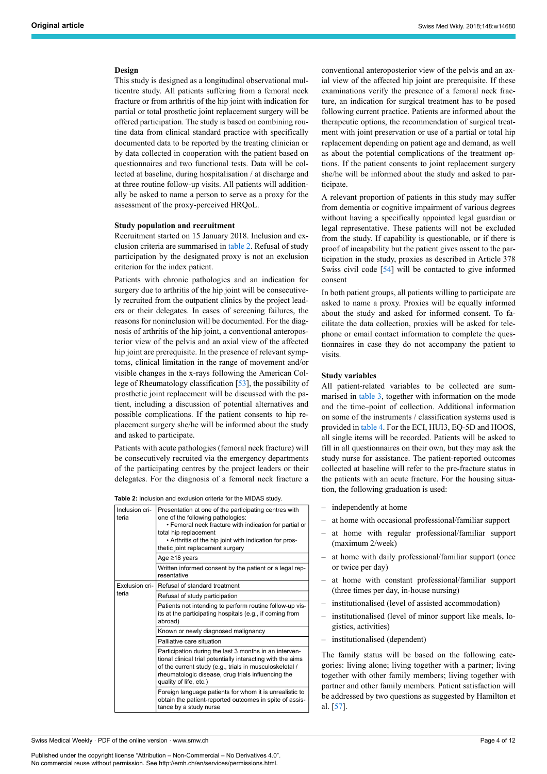#### **Design**

This study is designed as a longitudinal observational multicentre study. All patients suffering from a femoral neck fracture or from arthritis of the hip joint with indication for partial or total prosthetic joint replacement surgery will be offered participation. The study is based on combining routine data from clinical standard practice with specifically documented data to be reported by the treating clinician or by data collected in cooperation with the patient based on questionnaires and two functional tests. Data will be collected at baseline, during hospitalisation / at discharge and at three routine follow-up visits. All patients will additionally be asked to name a person to serve as a proxy for the assessment of the proxy-perceived HRQoL.

#### **Study population and recruitment**

Recruitment started on 15 January 2018. Inclusion and exclusion criteria are summarised in [table 2.](#page-3-0) Refusal of study participation by the designated proxy is not an exclusion criterion for the index patient.

Patients with chronic pathologies and an indication for surgery due to arthritis of the hip joint will be consecutively recruited from the outpatient clinics by the project leaders or their delegates. In cases of screening failures, the reasons for noninclusion will be documented. For the diagnosis of arthritis of the hip joint, a conventional anteroposterior view of the pelvis and an axial view of the affected hip joint are prerequisite. In the presence of relevant symptoms, clinical limitation in the range of movement and/or visible changes in the x-rays following the American College of Rheumatology classification [\[53](#page-9-4)], the possibility of prosthetic joint replacement will be discussed with the patient, including a discussion of potential alternatives and possible complications. If the patient consents to hip replacement surgery she/he will be informed about the study and asked to participate.

Patients with acute pathologies (femoral neck fracture) will be consecutively recruited via the emergency departments of the participating centres by the project leaders or their delegates. For the diagnosis of a femoral neck fracture a

<span id="page-3-0"></span>**Table 2:** Inclusion and exclusion criteria for the MIDAS study.

| <b>Table 2:</b> Inclusion and exclusion criteria for the MIDAS study. |                                                                                                                                                                                                                                                                             |  |  |  |
|-----------------------------------------------------------------------|-----------------------------------------------------------------------------------------------------------------------------------------------------------------------------------------------------------------------------------------------------------------------------|--|--|--|
| Inclusion cri-<br>teria                                               | Presentation at one of the participating centres with<br>one of the following pathologies:<br>• Femoral neck fracture with indication for partial or<br>total hip replacement<br>• Arthritis of the hip joint with indication for pros-<br>thetic joint replacement surgery |  |  |  |
|                                                                       | Age ≥18 years                                                                                                                                                                                                                                                               |  |  |  |
|                                                                       | Written informed consent by the patient or a legal rep-<br>resentative                                                                                                                                                                                                      |  |  |  |
|                                                                       | Exclusion cri- Refusal of standard treatment                                                                                                                                                                                                                                |  |  |  |
| teria                                                                 | Refusal of study participation                                                                                                                                                                                                                                              |  |  |  |
|                                                                       | Patients not intending to perform routine follow-up vis-<br>its at the participating hospitals (e.g., if coming from<br>abroad)                                                                                                                                             |  |  |  |
|                                                                       | Known or newly diagnosed malignancy                                                                                                                                                                                                                                         |  |  |  |
|                                                                       | Palliative care situation                                                                                                                                                                                                                                                   |  |  |  |
|                                                                       | Participation during the last 3 months in an interven-<br>tional clinical trial potentially interacting with the aims<br>of the current study (e.g., trials in musculoskeletal /<br>rheumatologic disease, drug trials influencing the<br>quality of life, etc.)            |  |  |  |
|                                                                       | Foreign language patients for whom it is unrealistic to<br>obtain the patient-reported outcomes in spite of assis-<br>tance by a study nurse                                                                                                                                |  |  |  |

conventional anteroposterior view of the pelvis and an axial view of the affected hip joint are prerequisite. If these examinations verify the presence of a femoral neck fracture, an indication for surgical treatment has to be posed following current practice. Patients are informed about the therapeutic options, the recommendation of surgical treatment with joint preservation or use of a partial or total hip replacement depending on patient age and demand, as well as about the potential complications of the treatment options. If the patient consents to joint replacement surgery she/he will be informed about the study and asked to participate.

A relevant proportion of patients in this study may suffer from dementia or cognitive impairment of various degrees without having a specifically appointed legal guardian or legal representative. These patients will not be excluded from the study. If capability is questionable, or if there is proof of incapability but the patient gives assent to the participation in the study, proxies as described in Article 378 Swiss civil code [[54\]](#page-9-5) will be contacted to give informed consent

In both patient groups, all patients willing to participate are asked to name a proxy. Proxies will be equally informed about the study and asked for informed consent. To facilitate the data collection, proxies will be asked for telephone or email contact information to complete the questionnaires in case they do not accompany the patient to visits.

#### **Study variables**

All patient-related variables to be collected are summarised in [table 3](#page-4-0), together with information on the mode and the time–point of collection. Additional information on some of the instruments / classification systems used is provided in [table 4.](#page-5-0) For the ECI, HUI3, EQ-5D and HOOS, all single items will be recorded. Patients will be asked to fill in all questionnaires on their own, but they may ask the study nurse for assistance. The patient-reported outcomes collected at baseline will refer to the pre-fracture status in the patients with an acute fracture. For the housing situation, the following graduation is used:

- independently at home
- at home with occasional professional/familiar support
- at home with regular professional/familiar support (maximum 2/week)
- at home with daily professional/familiar support (once or twice per day)
- at home with constant professional/familiar support (three times per day, in-house nursing)
- institutionalised (level of assisted accommodation)
- institutionalised (level of minor support like meals, logistics, activities)
- institutionalised (dependent)

The family status will be based on the following categories: living alone; living together with a partner; living together with other family members; living together with partner and other family members. Patient satisfaction will be addressed by two questions as suggested by Hamilton et al. [\[57](#page-9-6)].

Swiss Medical Weekly · PDF of the online version · www.smw.ch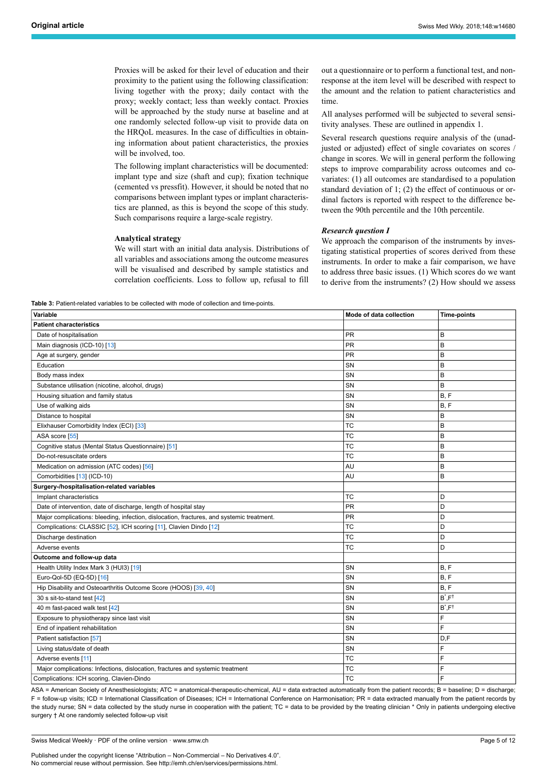Proxies will be asked for their level of education and their proximity to the patient using the following classification: living together with the proxy; daily contact with the proxy; weekly contact; less than weekly contact. Proxies will be approached by the study nurse at baseline and at one randomly selected follow-up visit to provide data on the HRQoL measures. In the case of difficulties in obtaining information about patient characteristics, the proxies will be involved, too.

The following implant characteristics will be documented: implant type and size (shaft and cup); fixation technique (cemented vs pressfit). However, it should be noted that no comparisons between implant types or implant characteristics are planned, as this is beyond the scope of this study. Such comparisons require a large-scale registry.

#### **Analytical strategy**

We will start with an initial data analysis. Distributions of all variables and associations among the outcome measures will be visualised and described by sample statistics and correlation coefficients. Loss to follow up, refusal to fill

<span id="page-4-0"></span>**Table 3:** Patient-related variables to be collected with mode of collection and time-points.

out a questionnaire or to perform a functional test, and nonresponse at the item level will be described with respect to the amount and the relation to patient characteristics and time.

All analyses performed will be subjected to several sensitivity analyses. These are outlined in appendix 1.

Several research questions require analysis of the (unadjusted or adjusted) effect of single covariates on scores / change in scores. We will in general perform the following steps to improve comparability across outcomes and covariates: (1) all outcomes are standardised to a population standard deviation of 1; (2) the effect of continuous or ordinal factors is reported with respect to the difference between the 90th percentile and the 10th percentile.

#### *Research question I*

We approach the comparison of the instruments by investigating statistical properties of scores derived from these instruments. In order to make a fair comparison, we have to address three basic issues. (1) Which scores do we want to derive from the instruments? (2) How should we assess

| Variable                                                                                  | Mode of data collection | <b>Time-points</b>          |
|-------------------------------------------------------------------------------------------|-------------------------|-----------------------------|
| <b>Patient characteristics</b>                                                            |                         |                             |
| Date of hospitalisation                                                                   | PR                      | B                           |
| Main diagnosis (ICD-10) [13]                                                              | <b>PR</b>               | B                           |
| Age at surgery, gender                                                                    | <b>PR</b>               | B                           |
| Education                                                                                 | SN                      | в                           |
| Body mass index                                                                           | SN                      | B                           |
| Substance utilisation (nicotine, alcohol, drugs)                                          | SN                      | B                           |
| Housing situation and family status                                                       | SN                      | B.F                         |
| Use of walking aids                                                                       | SN                      | B, F                        |
| Distance to hospital                                                                      | SN                      | B                           |
| Elixhauser Comorbidity Index (ECI) [33]                                                   | TC                      | B                           |
| ASA score [55]                                                                            | <b>TC</b>               | B                           |
| Cognitive status (Mental Status Questionnaire) [51]                                       | <b>TC</b>               | B                           |
| Do-not-resuscitate orders                                                                 | <b>TC</b>               | B                           |
| Medication on admission (ATC codes) [56]                                                  | AU                      | B                           |
| Comorbidities [13] (ICD-10)                                                               | AU                      | B                           |
| Surgery-/hospitalisation-related variables                                                |                         |                             |
| Implant characteristics                                                                   | TC                      | D                           |
| Date of intervention, date of discharge, length of hospital stay                          | <b>PR</b>               | D                           |
| Major complications: bleeding, infection, dislocation, fractures, and systemic treatment. | <b>PR</b>               | D                           |
| Complications: CLASSIC [52], ICH scoring [11], Clavien Dindo [12]                         | <b>TC</b>               | D                           |
| Discharge destination                                                                     | <b>TC</b>               | D                           |
| Adverse events                                                                            | TC                      | D                           |
| Outcome and follow-up data                                                                |                         |                             |
| Health Utility Index Mark 3 (HUI3) [19]                                                   | SN                      | B.F                         |
| Euro-Qol-5D (EQ-5D) [16]                                                                  | SN                      | B, F                        |
| Hip Disability and Osteoarthritis Outcome Score (HOOS) [39, 40]                           | SN                      | B, F                        |
| 30 s sit-to-stand test [42]                                                               | SN                      | $B^{\star}$ , $F^{\dagger}$ |
| 40 m fast-paced walk test [42]                                                            | SN                      | $B^{\star}$ , $F^{\dagger}$ |
| Exposure to physiotherapy since last visit                                                | SN                      | F                           |
| End of inpatient rehabilitation                                                           | SN                      | F                           |
| Patient satisfaction [57]                                                                 | SN                      | D,F                         |
| Living status/date of death                                                               | SN                      | F                           |
| Adverse events [11]                                                                       | <b>TC</b>               | F                           |
| Major complications: Infections, dislocation, fractures and systemic treatment            | <b>TC</b>               | F                           |
| Complications: ICH scoring, Clavien-Dindo                                                 | <b>TC</b>               | Ë                           |

ASA = American Society of Anesthesiologists; ATC = anatomical-therapeutic-chemical, AU = data extracted automatically from the patient records; B = baseline; D = discharge; F = follow-up visits; ICD = International Classification of Diseases; ICH = International Conference on Harmonisation; PR = data extracted manually from the patient records by the study nurse; SN = data collected by the study nurse in cooperation with the patient; TC = data to be provided by the treating clinician \* Only in patients undergoing elective surgery † At one randomly selected follow-up visit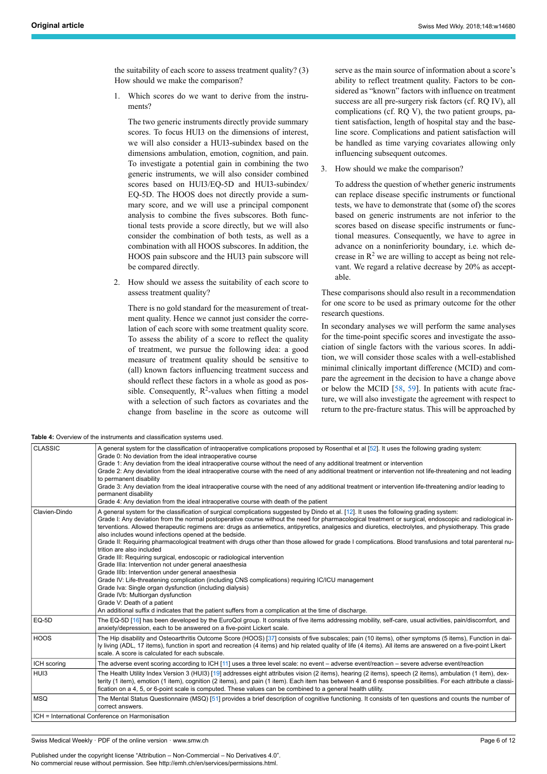the suitability of each score to assess treatment quality? (3) How should we make the comparison?

1. Which scores do we want to derive from the instruments?

The two generic instruments directly provide summary scores. To focus HUI3 on the dimensions of interest, we will also consider a HUI3-subindex based on the dimensions ambulation, emotion, cognition, and pain. To investigate a potential gain in combining the two generic instruments, we will also consider combined scores based on HUI3/EQ-5D and HUI3-subindex/ EQ-5D. The HOOS does not directly provide a summary score, and we will use a principal component analysis to combine the fives subscores. Both functional tests provide a score directly, but we will also consider the combination of both tests, as well as a combination with all HOOS subscores. In addition, the HOOS pain subscore and the HUI3 pain subscore will be compared directly.

2. How should we assess the suitability of each score to assess treatment quality?

There is no gold standard for the measurement of treatment quality. Hence we cannot just consider the correlation of each score with some treatment quality score. To assess the ability of a score to reflect the quality of treatment, we pursue the following idea: a good measure of treatment quality should be sensitive to (all) known factors influencing treatment success and should reflect these factors in a whole as good as possible. Consequently,  $R^2$ -values when fitting a model with a selection of such factors as covariates and the change from baseline in the score as outcome will serve as the main source of information about a score's ability to reflect treatment quality. Factors to be considered as "known" factors with influence on treatment success are all pre-surgery risk factors (cf. RQ IV), all complications (cf. RQ V), the two patient groups, patient satisfaction, length of hospital stay and the baseline score. Complications and patient satisfaction will be handled as time varying covariates allowing only influencing subsequent outcomes.

3. How should we make the comparison?

To address the question of whether generic instruments can replace disease specific instruments or functional tests, we have to demonstrate that (some of) the scores based on generic instruments are not inferior to the scores based on disease specific instruments or functional measures. Consequently, we have to agree in advance on a noninferiority boundary, i.e. which decrease in  $\mathbb{R}^2$  we are willing to accept as being not relevant. We regard a relative decrease by 20% as acceptable.

These comparisons should also result in a recommendation for one score to be used as primary outcome for the other research questions.

In secondary analyses we will perform the same analyses for the time-point specific scores and investigate the association of single factors with the various scores. In addition, we will consider those scales with a well-established minimal clinically important difference (MCID) and compare the agreement in the decision to have a change above or below the MCID [[58,](#page-9-9) [59\]](#page-9-10). In patients with acute fracture, we will also investigate the agreement with respect to return to the pre-fracture status. This will be approached by

<span id="page-5-0"></span>**Table 4:** Overview of the instruments and classification systems used.

| <b>CLASSIC</b>   | A general system for the classification of intraoperative complications proposed by Rosenthal et al [52]. It uses the following grading system:<br>Grade 0: No deviation from the ideal intraoperative course<br>Grade 1: Any deviation from the ideal intraoperative course without the need of any additional treatment or intervention<br>Grade 2: Any deviation from the ideal intraoperative course with the need of any additional treatment or intervention not life-threatening and not leading<br>to permanent disability<br>Grade 3: Any deviation from the ideal intraoperative course with the need of any additional treatment or intervention life-threatening and/or leading to<br>permanent disability<br>Grade 4: Any deviation from the ideal intraoperative course with death of the patient                                                                                                                                                                                                                                                                                                                                                                                                                                            |
|------------------|------------------------------------------------------------------------------------------------------------------------------------------------------------------------------------------------------------------------------------------------------------------------------------------------------------------------------------------------------------------------------------------------------------------------------------------------------------------------------------------------------------------------------------------------------------------------------------------------------------------------------------------------------------------------------------------------------------------------------------------------------------------------------------------------------------------------------------------------------------------------------------------------------------------------------------------------------------------------------------------------------------------------------------------------------------------------------------------------------------------------------------------------------------------------------------------------------------------------------------------------------------|
| Clavien-Dindo    | A general system for the classification of surgical complications suggested by Dindo et al. [12]. It uses the following grading system:<br>Grade I: Any deviation from the normal postoperative course without the need for pharmacological treatment or surgical, endoscopic and radiological in-<br>terventions. Allowed therapeutic regimens are: drugs as antiemetics, antipyretics, analgesics and diuretics, electrolytes, and physiotherapy. This grade<br>also includes wound infections opened at the bedside.<br>Grade II: Requiring pharmacological treatment with drugs other than those allowed for grade I complications. Blood transfusions and total parenteral nu-<br>trition are also included<br>Grade III: Requiring surgical, endoscopic or radiological intervention<br>Grade IIIa: Intervention not under general anaesthesia<br>Grade IIIb: Intervention under general anaesthesia<br>Grade IV: Life-threatening complication (including CNS complications) requiring IC/ICU management<br>Grade Iva: Single organ dysfunction (including dialysis)<br>Grade IVb: Multiorgan dysfunction<br>Grade V: Death of a patient<br>An additional suffix d indicates that the patient suffers from a complication at the time of discharge. |
| EQ-5D            | The EQ-5D [16] has been developed by the EuroQol group. It consists of five items addressing mobility, self-care, usual activities, pain/discomfort, and<br>anxiety/depression, each to be answered on a five-point Lickert scale.                                                                                                                                                                                                                                                                                                                                                                                                                                                                                                                                                                                                                                                                                                                                                                                                                                                                                                                                                                                                                         |
| <b>HOOS</b>      | The Hip disability and Osteoarthritis Outcome Score (HOOS) [37] consists of five subscales; pain (10 items), other symptoms (5 items), Function in dai-<br>ly living (ADL, 17 items), function in sport and recreation (4 items) and hip related quality of life (4 items). All items are answered on a five-point Likert<br>scale. A score is calculated for each subscale.                                                                                                                                                                                                                                                                                                                                                                                                                                                                                                                                                                                                                                                                                                                                                                                                                                                                               |
| ICH scoring      | The adverse event scoring according to ICH [11] uses a three level scale: no event – adverse event/reaction – severe adverse event/reaction                                                                                                                                                                                                                                                                                                                                                                                                                                                                                                                                                                                                                                                                                                                                                                                                                                                                                                                                                                                                                                                                                                                |
| HU <sub>13</sub> | The Health Utility Index Version 3 (HUI3) [19] addresses eight attributes vision (2 items), hearing (2 items), speech (2 items), ambulation (1 item), dex-<br>terity (1 item), emotion (1 item), cognition (2 items), and pain (1 item). Each item has between 4 and 6 response possibilities. For each attribute a classi-<br>fication on a 4, 5, or 6-point scale is computed. These values can be combined to a general health utility.                                                                                                                                                                                                                                                                                                                                                                                                                                                                                                                                                                                                                                                                                                                                                                                                                 |
| <b>MSQ</b>       | The Mental Status Questionnaire (MSQ) [51] provides a brief description of cognitive functioning. It consists of ten questions and counts the number of<br>correct answers.                                                                                                                                                                                                                                                                                                                                                                                                                                                                                                                                                                                                                                                                                                                                                                                                                                                                                                                                                                                                                                                                                |
|                  | ICH = International Conference on Harmonisation                                                                                                                                                                                                                                                                                                                                                                                                                                                                                                                                                                                                                                                                                                                                                                                                                                                                                                                                                                                                                                                                                                                                                                                                            |

Swiss Medical Weekly · PDF of the online version · www.smw.ch

Published under the copyright license "Attribution – Non-Commercial – No Derivatives 4.0". No commercial reuse without permission. See http://emh.ch/en/services/permissions.html.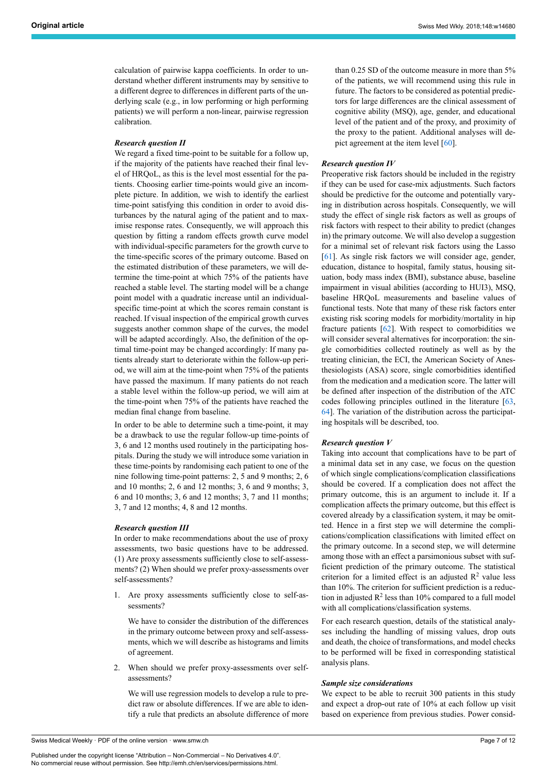calculation of pairwise kappa coefficients. In order to understand whether different instruments may by sensitive to a different degree to differences in different parts of the underlying scale (e.g., in low performing or high performing patients) we will perform a non-linear, pairwise regression calibration.

#### *Research question II*

We regard a fixed time-point to be suitable for a follow up, if the majority of the patients have reached their final level of HRQoL, as this is the level most essential for the patients. Choosing earlier time-points would give an incomplete picture. In addition, we wish to identify the earliest time-point satisfying this condition in order to avoid disturbances by the natural aging of the patient and to maximise response rates. Consequently, we will approach this question by fitting a random effects growth curve model with individual-specific parameters for the growth curve to the time-specific scores of the primary outcome. Based on the estimated distribution of these parameters, we will determine the time-point at which 75% of the patients have reached a stable level. The starting model will be a change point model with a quadratic increase until an individualspecific time-point at which the scores remain constant is reached. If visual inspection of the empirical growth curves suggests another common shape of the curves, the model will be adapted accordingly. Also, the definition of the optimal time-point may be changed accordingly: If many patients already start to deteriorate within the follow-up period, we will aim at the time-point when 75% of the patients have passed the maximum. If many patients do not reach a stable level within the follow-up period, we will aim at the time-point when 75% of the patients have reached the median final change from baseline.

In order to be able to determine such a time-point, it may be a drawback to use the regular follow-up time-points of 3, 6 and 12 months used routinely in the participating hospitals. During the study we will introduce some variation in these time-points by randomising each patient to one of the nine following time-point patterns: 2, 5 and 9 months; 2, 6 and 10 months; 2, 6 and 12 months; 3, 6 and 9 months; 3, 6 and 10 months; 3, 6 and 12 months; 3, 7 and 11 months; 3, 7 and 12 months; 4, 8 and 12 months.

#### *Research question III*

In order to make recommendations about the use of proxy assessments, two basic questions have to be addressed. (1) Are proxy assessments sufficiently close to self-assessments? (2) When should we prefer proxy-assessments over self-assessments?

1. Are proxy assessments sufficiently close to self-assessments?

We have to consider the distribution of the differences in the primary outcome between proxy and self-assessments, which we will describe as histograms and limits of agreement.

2. When should we prefer proxy-assessments over selfassessments?

We will use regression models to develop a rule to predict raw or absolute differences. If we are able to identify a rule that predicts an absolute difference of more than 0.25 SD of the outcome measure in more than 5% of the patients, we will recommend using this rule in future. The factors to be considered as potential predictors for large differences are the clinical assessment of cognitive ability (MSQ), age, gender, and educational level of the patient and of the proxy, and proximity of the proxy to the patient. Additional analyses will depict agreement at the item level [\[60](#page-9-11)].

#### *Research question IV*

Preoperative risk factors should be included in the registry if they can be used for case-mix adjustments. Such factors should be predictive for the outcome and potentially varying in distribution across hospitals. Consequently, we will study the effect of single risk factors as well as groups of risk factors with respect to their ability to predict (changes in) the primary outcome. We will also develop a suggestion for a minimal set of relevant risk factors using the Lasso [\[61](#page-9-12)]. As single risk factors we will consider age, gender, education, distance to hospital, family status, housing situation, body mass index (BMI), substance abuse, baseline impairment in visual abilities (according to HUI3), MSQ, baseline HRQoL measurements and baseline values of functional tests. Note that many of these risk factors enter existing risk scoring models for morbidity/mortality in hip fracture patients [\[62](#page-9-13)]. With respect to comorbidities we will consider several alternatives for incorporation: the single comorbidities collected routinely as well as by the treating clinician, the ECI, the American Society of Anesthesiologists (ASA) score, single comorbidities identified from the medication and a medication score. The latter will be defined after inspection of the distribution of the ATC codes following principles outlined in the literature [\[63](#page-9-14), [64](#page-9-4)]. The variation of the distribution across the participating hospitals will be described, too.

#### *Research question V*

Taking into account that complications have to be part of a minimal data set in any case, we focus on the question of which single complications/complication classifications should be covered. If a complication does not affect the primary outcome, this is an argument to include it. If a complication affects the primary outcome, but this effect is covered already by a classification system, it may be omitted. Hence in a first step we will determine the complications/complication classifications with limited effect on the primary outcome. In a second step, we will determine among those with an effect a parsimonious subset with sufficient prediction of the primary outcome. The statistical criterion for a limited effect is an adjusted  $\mathbb{R}^2$  value less than 10%. The criterion for sufficient prediction is a reduction in adjusted  $R^2$  less than 10% compared to a full model with all complications/classification systems.

For each research question, details of the statistical analyses including the handling of missing values, drop outs and death, the choice of transformations, and model checks to be performed will be fixed in corresponding statistical analysis plans.

#### *Sample size considerations*

We expect to be able to recruit 300 patients in this study and expect a drop-out rate of 10% at each follow up visit based on experience from previous studies. Power consid-

Published under the copyright license "Attribution – Non-Commercial – No Derivatives 4.0". No commercial reuse without permission. See http://emh.ch/en/services/permissions.html.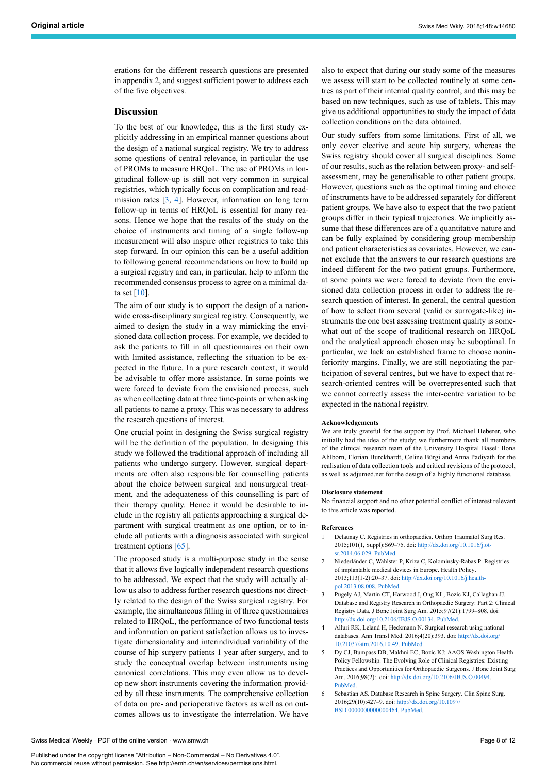erations for the different research questions are presented in appendix 2, and suggest sufficient power to address each of the five objectives.

#### **Discussion**

To the best of our knowledge, this is the first study explicitly addressing in an empirical manner questions about the design of a national surgical registry. We try to address some questions of central relevance, in particular the use of PROMs to measure HRQoL. The use of PROMs in longitudinal follow-up is still not very common in surgical registries, which typically focus on complication and readmission rates  $[3, 4]$  $[3, 4]$  $[3, 4]$  $[3, 4]$  $[3, 4]$ . However, information on long term follow-up in terms of HRQoL is essential for many reasons. Hence we hope that the results of the study on the choice of instruments and timing of a single follow-up measurement will also inspire other registries to take this step forward. In our opinion this can be a useful addition to following general recommendations on how to build up a surgical registry and can, in particular, help to inform the recommended consensus process to agree on a minimal data set  $[10]$  $[10]$ .

The aim of our study is to support the design of a nationwide cross-disciplinary surgical registry. Consequently, we aimed to design the study in a way mimicking the envisioned data collection process. For example, we decided to ask the patients to fill in all questionnaires on their own with limited assistance, reflecting the situation to be expected in the future. In a pure research context, it would be advisable to offer more assistance. In some points we were forced to deviate from the envisioned process, such as when collecting data at three time-points or when asking all patients to name a proxy. This was necessary to address the research questions of interest.

One crucial point in designing the Swiss surgical registry will be the definition of the population. In designing this study we followed the traditional approach of including all patients who undergo surgery. However, surgical departments are often also responsible for counselling patients about the choice between surgical and nonsurgical treatment, and the adequateness of this counselling is part of their therapy quality. Hence it would be desirable to include in the registry all patients approaching a surgical department with surgical treatment as one option, or to include all patients with a diagnosis associated with surgical treatment options [[65\]](#page-9-15).

<span id="page-7-3"></span><span id="page-7-2"></span><span id="page-7-1"></span><span id="page-7-0"></span>The proposed study is a multi-purpose study in the sense that it allows five logically independent research questions to be addressed. We expect that the study will actually allow us also to address further research questions not directly related to the design of the Swiss surgical registry. For example, the simultaneous filling in of three questionnaires related to HRQoL, the performance of two functional tests and information on patient satisfaction allows us to investigate dimensionality and interindividual variability of the course of hip surgery patients 1 year after surgery, and to study the conceptual overlap between instruments using canonical correlations. This may even allow us to develop new short instruments covering the information provided by all these instruments. The comprehensive collection of data on pre- and perioperative factors as well as on outcomes allows us to investigate the interrelation. We have also to expect that during our study some of the measures we assess will start to be collected routinely at some centres as part of their internal quality control, and this may be based on new techniques, such as use of tablets. This may give us additional opportunities to study the impact of data collection conditions on the data obtained.

Our study suffers from some limitations. First of all, we only cover elective and acute hip surgery, whereas the Swiss registry should cover all surgical disciplines. Some of our results, such as the relation between proxy- and selfassessment, may be generalisable to other patient groups. However, questions such as the optimal timing and choice of instruments have to be addressed separately for different patient groups. We have also to expect that the two patient groups differ in their typical trajectories. We implicitly assume that these differences are of a quantitative nature and can be fully explained by considering group membership and patient characteristics as covariates. However, we cannot exclude that the answers to our research questions are indeed different for the two patient groups. Furthermore, at some points we were forced to deviate from the envisioned data collection process in order to address the research question of interest. In general, the central question of how to select from several (valid or surrogate-like) instruments the one best assessing treatment quality is somewhat out of the scope of traditional research on HRQoL and the analytical approach chosen may be suboptimal. In particular, we lack an established frame to choose noninferiority margins. Finally, we are still negotiating the participation of several centres, but we have to expect that research-oriented centres will be overrepresented such that we cannot correctly assess the inter-centre variation to be expected in the national registry.

#### **Acknowledgements**

We are truly grateful for the support by Prof. Michael Heberer, who initially had the idea of the study; we furthermore thank all members of the clinical research team of the University Hospital Basel: Ilona Ahlborn, Florian Burckhardt, Celine Bürgi and Anna Padiyath for the realisation of data collection tools and critical revisions of the protocol, as well as adjumed.net for the design of a highly functional database.

#### **Disclosure statement**

No financial support and no other potential conflict of interest relevant to this article was reported.

#### **References**

- 1 Delaunay C. Registries in orthopaedics. Orthop Traumatol Surg Res. 2015;101(1, Suppl):S69–75. doi: [http://dx.doi.org/10.1016/j.ot](http://dx.doi.org/10.1016/j.otsr.2014.06.029)[sr.2014.06.029](http://dx.doi.org/10.1016/j.otsr.2014.06.029). [PubMed](http://www.ncbi.nlm.nih.gov/entrez/query.fcgi?cmd=Retrieve&db=PubMed&list_uids=25553603&dopt=Abstract).
- 2 Niederländer C, Wahlster P, Kriza C, Kolominsky-Rabas P. Registries of implantable medical devices in Europe. Health Policy. 2013;113(1-2):20–37. doi: [http://dx.doi.org/10.1016/j.health](http://dx.doi.org/10.1016/j.healthpol.2013.08.008)[pol.2013.08.008](http://dx.doi.org/10.1016/j.healthpol.2013.08.008). [PubMed.](http://www.ncbi.nlm.nih.gov/entrez/query.fcgi?cmd=Retrieve&db=PubMed&list_uids=24075007&dopt=Abstract)
- 3 Pugely AJ, Martin CT, Harwood J, Ong KL, Bozic KJ, Callaghan JJ. Database and Registry Research in Orthopaedic Surgery: Part 2: Clinical Registry Data. J Bone Joint Surg Am. 2015;97(21):1799–808. doi: <http://dx.doi.org/10.2106/JBJS.O.00134>. [PubMed.](http://www.ncbi.nlm.nih.gov/entrez/query.fcgi?cmd=Retrieve&db=PubMed&list_uids=26537168&dopt=Abstract)
- 4 Alluri RK, Leland H, Heckmann N. Surgical research using national databases. Ann Transl Med. 2016;4(20):393. doi: [http://dx.doi.org/](http://dx.doi.org/10.21037/atm.2016.10.49) [10.21037/atm.2016.10.49.](http://dx.doi.org/10.21037/atm.2016.10.49) [PubMed.](http://www.ncbi.nlm.nih.gov/entrez/query.fcgi?cmd=Retrieve&db=PubMed&list_uids=27867945&dopt=Abstract)
- 5 Dy CJ, Bumpass DB, Makhni EC, Bozic KJ; AAOS Washington Health Policy Fellowship. The Evolving Role of Clinical Registries: Existing Practices and Opportunities for Orthopaedic Surgeons. J Bone Joint Surg Am. 2016;98(2):. doi: <http://dx.doi.org/10.2106/JBJS.O.00494>. [PubMed](http://www.ncbi.nlm.nih.gov/entrez/query.fcgi?cmd=Retrieve&db=PubMed&list_uids=26791040&dopt=Abstract).
- 6 Sebastian AS. Database Research in Spine Surgery. Clin Spine Surg. 2016;29(10):427–9. doi: [http://dx.doi.org/10.1097/](http://dx.doi.org/10.1097/BSD.0000000000000464) [BSD.0000000000000464](http://dx.doi.org/10.1097/BSD.0000000000000464). [PubMed](http://www.ncbi.nlm.nih.gov/entrez/query.fcgi?cmd=Retrieve&db=PubMed&list_uids=27879504&dopt=Abstract).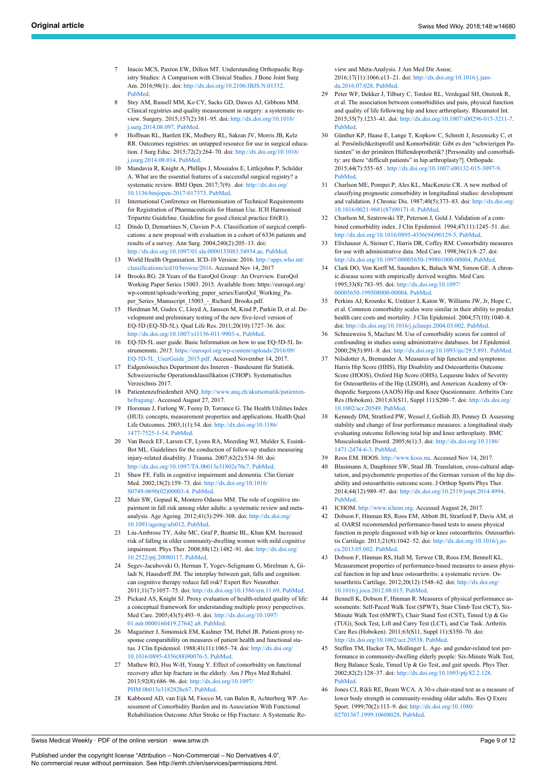- <span id="page-8-0"></span>Inacio MCS, Paxton EW, Dillon MT. Understanding Orthopaedic Registry Studies: A Comparison with Clinical Studies. J Bone Joint Surg Am. 2016;98(1):. doi: [http://dx.doi.org/10.2106/JBJS.N.01332.](http://dx.doi.org/10.2106/JBJS.N.01332) [PubMed.](http://www.ncbi.nlm.nih.gov/entrez/query.fcgi?cmd=Retrieve&db=PubMed&list_uids=26738910&dopt=Abstract)
- <span id="page-8-1"></span>8 Stey AM, Russell MM, Ko CY, Sacks GD, Dawes AJ, Gibbons MM. Clinical registries and quality measurement in surgery: a systematic review. Surgery. 2015;157(2):381–95. doi: [http://dx.doi.org/10.1016/](http://dx.doi.org/10.1016/j.surg.2014.08.097) [j.surg.2014.08.097](http://dx.doi.org/10.1016/j.surg.2014.08.097). [PubMed.](http://www.ncbi.nlm.nih.gov/entrez/query.fcgi?cmd=Retrieve&db=PubMed&list_uids=25616951&dopt=Abstract)
- <span id="page-8-2"></span>9 Hoffman RL, Bartlett EK, Medbery RL, Sakran JV, Morris JB, Kelz RR. Outcomes registries: an untapped resource for use in surgical education. J Surg Educ. 2015;72(2):264–70. doi: [http://dx.doi.org/10.1016/](http://dx.doi.org/10.1016/j.jsurg.2014.08.014) [j.jsurg.2014.08.014](http://dx.doi.org/10.1016/j.jsurg.2014.08.014). [PubMed.](http://www.ncbi.nlm.nih.gov/entrez/query.fcgi?cmd=Retrieve&db=PubMed&list_uids=25441260&dopt=Abstract)
- <span id="page-8-18"></span><span id="page-8-3"></span>10 Mandavia R, Knight A, Phillips J, Mossialos E, Littlejohns P, Schilder A. What are the essential features of a successful surgical registry? a systematic review. BMJ Open. 2017;7(9):. doi: [http://dx.doi.org/](http://dx.doi.org/10.1136/bmjopen-2017-017373) [10.1136/bmjopen-2017-017373](http://dx.doi.org/10.1136/bmjopen-2017-017373). [PubMed.](http://www.ncbi.nlm.nih.gov/entrez/query.fcgi?cmd=Retrieve&db=PubMed&list_uids=28947457&dopt=Abstract)
- <span id="page-8-19"></span><span id="page-8-4"></span>11 International Conference on Harmonisation of Technical Requirements for Registration of Pharmaceuticals for Human Use. ICH Harmonised Tripartite Guideline. Guideline for good clinical practice E6(R1)*.*
- <span id="page-8-5"></span>12 Dindo D, Demartines N, Clavien P-A. Classification of surgical complications: a new proposal with evaluation in a cohort of 6336 patients and results of a survey. Ann Surg. 2004;240(2):205–13. doi: [http://dx.doi.org/10.1097/01.sla.0000133083.54934.ae.](http://dx.doi.org/10.1097/01.sla.0000133083.54934.ae) [PubMed](http://www.ncbi.nlm.nih.gov/entrez/query.fcgi?cmd=Retrieve&db=PubMed&list_uids=15273542&dopt=Abstract).
- <span id="page-8-21"></span><span id="page-8-20"></span><span id="page-8-10"></span><span id="page-8-9"></span>13 World Health Organisation. ICD-10 Version: 2016. [http://apps.who.int/](http://apps.who.int/classifications/icd10/browse/2016) lassifications/icd10/browse/2016. Accessed Nov 14, 2017
- 14 Brooks RG. 28 Years of the EuroQol Group : An Overview. EuroQol Working Paper Series 15003. 2015. Available from: https://euroqol.org/ wp-content/uploads/working\_paper\_series/EuroQol\_Working\_Paper\_Series\_Manuscript\_15003\_-\_Richard\_Brooks.pdf.
- 15 Herdman M, Gudex C, Lloyd A, Janssen M, Kind P, Parkin D, et al. Development and preliminary testing of the new five-level version of EQ-5D (EQ-5D-5L). Qual Life Res. 2011;20(10):1727–36. doi: [http://dx.doi.org/10.1007/s11136-011-9903-x.](http://dx.doi.org/10.1007/s11136-011-9903-x) [PubMed](http://www.ncbi.nlm.nih.gov/entrez/query.fcgi?cmd=Retrieve&db=PubMed&list_uids=21479777&dopt=Abstract).
- <span id="page-8-22"></span><span id="page-8-7"></span>16 EQ-5D-5L user guide. Basic Information on how to use EQ-5D-5L Instrumemnts. *2015.* [https://euroqol.org/wp-content/uploads/2016/09/](https://euroqol.org/wp-content/uploads/2016/09/EQ-5D-5L_UserGuide_2015.pdf) [EQ-5D-5L\\_UserGuide\\_2015.pdf](https://euroqol.org/wp-content/uploads/2016/09/EQ-5D-5L_UserGuide_2015.pdf). Accessed November 14, 2017.
- <span id="page-8-23"></span><span id="page-8-11"></span>17 Eidgenössisches Department des Inneren - Bundesamt für Statistik. Schweizerische Operationsklassifikation (CHOP). Systematisches Verzeichnis 2017.
- <span id="page-8-12"></span>18 Patientenzufriedenheit ANQ. [http://www.anq.ch/akutsomatik/patienten](http://www.anq.ch/akutsomatik/patientenbefragung/)[befragung/](http://www.anq.ch/akutsomatik/patientenbefragung/). Accessed August 27, 2017.
- <span id="page-8-27"></span><span id="page-8-6"></span>19 Horsman J, Furlong W, Feeny D, Torrance G. The Health Utilities Index (HUI): concepts, measurement properties and applications. Health Qual Life Outcomes. 2003;1(1):54. doi: [http://dx.doi.org/10.1186/](http://dx.doi.org/10.1186/1477-7525-1-54) [1477-7525-1-54.](http://dx.doi.org/10.1186/1477-7525-1-54) [PubMed](http://www.ncbi.nlm.nih.gov/entrez/query.fcgi?cmd=Retrieve&db=PubMed&list_uids=14613568&dopt=Abstract).
- <span id="page-8-30"></span><span id="page-8-8"></span>20 Van Beeck EF, Larsen CF, Lyons RA, Meerding WJ, Mulder S, Essink-Bot ML. Guidelines for the conduction of follow-up studies measuring injury-related disability. J Trauma. 2007;62(2):534–50. doi: <http://dx.doi.org/10.1097/TA.0b013e31802e70c7>. [PubMed.](http://www.ncbi.nlm.nih.gov/entrez/query.fcgi?cmd=Retrieve&db=PubMed&list_uids=17297349&dopt=Abstract)
- <span id="page-8-24"></span><span id="page-8-13"></span>21 Shaw FE. Falls in cognitive impairment and dementia. Clin Geriatr Med. 2002;18(2):159–73. doi: [http://dx.doi.org/10.1016/](http://dx.doi.org/10.1016/S0749-0690(02)00003-4) [S0749-0690\(02\)00003-4.](http://dx.doi.org/10.1016/S0749-0690(02)00003-4) [PubMed.](http://www.ncbi.nlm.nih.gov/entrez/query.fcgi?cmd=Retrieve&db=PubMed&list_uids=12180241&dopt=Abstract)
- <span id="page-8-26"></span><span id="page-8-25"></span>22 Muir SW, Gopaul K, Montero Odasso MM. The role of cognitive impairment in fall risk among older adults: a systematic review and metaanalysis. Age Ageing. 2012;41(3):299–308. doi: [http://dx.doi.org/](http://dx.doi.org/10.1093/ageing/afs012) [10.1093/ageing/afs012.](http://dx.doi.org/10.1093/ageing/afs012) [PubMed.](http://www.ncbi.nlm.nih.gov/entrez/query.fcgi?cmd=Retrieve&db=PubMed&list_uids=22374645&dopt=Abstract)
- 23 Liu-Ambrose TY, Ashe MC, Graf P, Beattie BL, Khan KM. Increased risk of falling in older community-dwelling women with mild cognitive impairment. Phys Ther. 2008;88(12):1482–91. doi: [http://dx.doi.org/](http://dx.doi.org/10.2522/ptj.20080117) [10.2522/ptj.20080117](http://dx.doi.org/10.2522/ptj.20080117). [PubMed.](http://www.ncbi.nlm.nih.gov/entrez/query.fcgi?cmd=Retrieve&db=PubMed&list_uids=18820094&dopt=Abstract)
- <span id="page-8-14"></span>24 Segev-Jacubovski O, Herman T, Yogev-Seligmann G, Mirelman A, Giladi N, Hausdorff JM. The interplay between gait, falls and cognition: can cognitive therapy reduce fall risk? Expert Rev Neurother. 2011;11(7):1057–75. doi: <http://dx.doi.org/10.1586/ern.11.69>. [PubMed](http://www.ncbi.nlm.nih.gov/entrez/query.fcgi?cmd=Retrieve&db=PubMed&list_uids=21721921&dopt=Abstract).
- <span id="page-8-15"></span>25 Pickard AS, Knight SJ. Proxy evaluation of health-related quality of life: a conceptual framework for understanding multiple proxy perspectives. Med Care. 2005;43(5):493–9. doi: [http://dx.doi.org/10.1097/](http://dx.doi.org/10.1097/01.mlr.0000160419.27642.a8) [01.mlr.0000160419.27642.a8](http://dx.doi.org/10.1097/01.mlr.0000160419.27642.a8). [PubMed.](http://www.ncbi.nlm.nih.gov/entrez/query.fcgi?cmd=Retrieve&db=PubMed&list_uids=15838415&dopt=Abstract)
- <span id="page-8-28"></span><span id="page-8-16"></span>26 Magaziner J, Simonsick EM, Kashner TM, Hebel JR. Patient-proxy response comparability on measures of patient health and functional status. J Clin Epidemiol. 1988;41(11):1065–74. doi: [http://dx.doi.org/](http://dx.doi.org/10.1016/0895-4356(88)90076-5) [10.1016/0895-4356\(88\)90076-5.](http://dx.doi.org/10.1016/0895-4356(88)90076-5) [PubMed.](http://www.ncbi.nlm.nih.gov/entrez/query.fcgi?cmd=Retrieve&db=PubMed&list_uids=3204417&dopt=Abstract)
- <span id="page-8-17"></span>Mathew RO, Hsu W-H, Young Y. Effect of comorbidity on functional recovery after hip fracture in the elderly. Am J Phys Med Rehabil. 2013;92(8):686–96. doi: [http://dx.doi.org/10.1097/](http://dx.doi.org/10.1097/PHM.0b013e318282bc67) [PHM.0b013e318282bc67](http://dx.doi.org/10.1097/PHM.0b013e318282bc67). [PubMed.](http://www.ncbi.nlm.nih.gov/entrez/query.fcgi?cmd=Retrieve&db=PubMed&list_uids=23370578&dopt=Abstract)
- <span id="page-8-29"></span>28 Kabboord AD, van Eijk M, Fiocco M, van Balen R, Achterberg WP. Assessment of Comorbidity Burden and its Association With Functional Rehabilitation Outcome After Stroke or Hip Fracture: A Systematic Re-

view and Meta-Analysis. J Am Med Dir Assoc. 2016;17(11):1066.e13–21. doi: [http://dx.doi.org/10.1016/j.jam](http://dx.doi.org/10.1016/j.jamda.2016.07.028)[da.2016.07.028](http://dx.doi.org/10.1016/j.jamda.2016.07.028). [PubMed](http://www.ncbi.nlm.nih.gov/entrez/query.fcgi?cmd=Retrieve&db=PubMed&list_uids=27663529&dopt=Abstract).

- 29 Peter WF, Dekker J, Tilbury C, Tordoir RL, Verdegaal SH, Onstenk R, et al. The association between comorbidities and pain, physical function and quality of life following hip and knee arthroplasty. Rheumatol Int. 2015;35(7):1233–41. doi: [http://dx.doi.org/10.1007/s00296-015-3211-7.](http://dx.doi.org/10.1007/s00296-015-3211-7) [PubMed](http://www.ncbi.nlm.nih.gov/entrez/query.fcgi?cmd=Retrieve&db=PubMed&list_uids=25586654&dopt=Abstract).
- 30 Günther KP, Haase E, Lange T, Kopkow C, Schmitt J, Jeszenszky C, et al. Persönlichkeitsprofil und Komorbidität: Gibt es den "schwierigen Patienten" in der primären Hüftendoprothetik? [Personality and comorbidity: are there "difficult patients" in hip arthroplasty?]. Orthopade. 2015;44(7):555–65 . <http://dx.doi.org/10.1007/s00132-015-3097-9>. [PubMed](http://www.ncbi.nlm.nih.gov/entrez/query.fcgi?cmd=Retrieve&db=PubMed&list_uids=25925089&dopt=Abstract).
- 31 Charlson ME, Pompei P, Ales KL, MacKenzie CR. A new method of classifying prognostic comorbidity in longitudinal studies: development and validation. J Chronic Dis. 1987;40(5):373–83. doi: [http://dx.doi.org/](http://dx.doi.org/10.1016/0021-9681(87)90171-8) [10.1016/0021-9681\(87\)90171-8](http://dx.doi.org/10.1016/0021-9681(87)90171-8). [PubMed](http://www.ncbi.nlm.nih.gov/entrez/query.fcgi?cmd=Retrieve&db=PubMed&list_uids=3558716&dopt=Abstract).
- 32 Charlson M, Szatrowski TP, Peterson J, Gold J. Validation of a combined comorbidity index. J Clin Epidemiol. 1994;47(11):1245–51. doi: [http://dx.doi.org/10.1016/0895-4356\(94\)90129-5.](http://dx.doi.org/10.1016/0895-4356(94)90129-5) [PubMed.](http://www.ncbi.nlm.nih.gov/entrez/query.fcgi?cmd=Retrieve&db=PubMed&list_uids=7722560&dopt=Abstract)
- 33 Elixhauser A, Steiner C, Harris DR, Coffey RM. Comorbidity measures for use with administrative data. Med Care. 1998;36(1):8–27. doi: <http://dx.doi.org/10.1097/00005650-199801000-00004>. [PubMed.](http://www.ncbi.nlm.nih.gov/entrez/query.fcgi?cmd=Retrieve&db=PubMed&list_uids=9431328&dopt=Abstract)
- 34 Clark DO, Von Korff M, Saunders K, Baluch WM, Simon GE. A chronic disease score with empirically derived weights. Med Care. 1995;33(8):783–95. doi: [http://dx.doi.org/10.1097/](http://dx.doi.org/10.1097/00005650-199508000-00004) [00005650-199508000-00004.](http://dx.doi.org/10.1097/00005650-199508000-00004) [PubMed](http://www.ncbi.nlm.nih.gov/entrez/query.fcgi?cmd=Retrieve&db=PubMed&list_uids=7637401&dopt=Abstract).
- 35 Perkins AJ, Kroenke K, Unützer J, Katon W, Williams JW, Jr, Hope C, et al. Common comorbidity scales were similar in their ability to predict health care costs and mortality. J Clin Epidemiol. 2004;57(10):1040-8. doi: <http://dx.doi.org/10.1016/j.jclinepi.2004.03.002>. [PubMed](http://www.ncbi.nlm.nih.gov/entrez/query.fcgi?cmd=Retrieve&db=PubMed&list_uids=15528055&dopt=Abstract).
- 36 Schneeweiss S, Maclure M. Use of comorbidity scores for control of confounding in studies using administrative databases. Int J Epidemiol. 2000;29(5):891–8. doi: <http://dx.doi.org/10.1093/ije/29.5.891>. [PubMed.](http://www.ncbi.nlm.nih.gov/entrez/query.fcgi?cmd=Retrieve&db=PubMed&list_uids=11034974&dopt=Abstract)
- Nilsdotter A, Bremander A. Measures of hip function and symptoms: Harris Hip Score (HHS), Hip Disability and Osteoarthritis Outcome Score (HOOS), Oxford Hip Score (OHS), Lequesne Index of Severity for Osteoarthritis of the Hip (LISOH), and American Academy of Orthopedic Surgeons (AAOS) Hip and Knee Questionnaire. Arthritis Care Res (Hoboken). 2011;63(S11, Suppl 11):S200–7. doi: [http://dx.doi.org/](http://dx.doi.org/10.1002/acr.20549) [10.1002/acr.20549](http://dx.doi.org/10.1002/acr.20549). [PubMed.](http://www.ncbi.nlm.nih.gov/entrez/query.fcgi?cmd=Retrieve&db=PubMed&list_uids=22588745&dopt=Abstract)
- 38 Kennedy DM, Stratford PW, Wessel J, Gollish JD, Penney D. Assessing stability and change of four performance measures: a longitudinal study evaluating outcome following total hip and knee arthroplasty. BMC Musculoskelet Disord. 2005;6(1):3. doi: [http://dx.doi.org/10.1186/](http://dx.doi.org/10.1186/1471-2474-6-3) [1471-2474-6-3.](http://dx.doi.org/10.1186/1471-2474-6-3) [PubMed.](http://www.ncbi.nlm.nih.gov/entrez/query.fcgi?cmd=Retrieve&db=PubMed&list_uids=15679884&dopt=Abstract)
- 39 Roos EM. HOOS. [http://www.koos.nu](http://www.koos.nu/). Accessed Nov 14, 2017.
- Blasimann A, Dauphinee SW, Staal JB. Translation, cross-cultural adaptation, and psychometric properties of the German version of the hip disability and osteoarthritis outcome score. J Orthop Sports Phys Ther. 2014;44(12):989–97. doi: <http://dx.doi.org/10.2519/jospt.2014.4994>. [PubMed](http://www.ncbi.nlm.nih.gov/entrez/query.fcgi?cmd=Retrieve&db=PubMed&list_uids=25394689&dopt=Abstract).
- 41 ICHOM. [http://www.ichom.org.](http://www.ichom.org/) Accessed August 28, 2017.
- 42 Dobson F, Hinman RS, Roos EM, Abbott JH, Stratford P, Davis AM, et al. OARSI recommended performance-based tests to assess physical function in people diagnosed with hip or knee osteoarthritis. Osteoarthritis Cartilage. 2013;21(8):1042–52. doi: [http://dx.doi.org/10.1016/j.jo](http://dx.doi.org/10.1016/j.joca.2013.05.002)[ca.2013.05.002.](http://dx.doi.org/10.1016/j.joca.2013.05.002) [PubMed.](http://www.ncbi.nlm.nih.gov/entrez/query.fcgi?cmd=Retrieve&db=PubMed&list_uids=23680877&dopt=Abstract)
- 43 Dobson F, Hinman RS, Hall M, Terwee CB, Roos EM, Bennell KL. Measurement properties of performance-based measures to assess physical function in hip and knee osteoarthritis: a systematic review. Osteoarthritis Cartilage. 2012;20(12):1548–62. doi: [http://dx.doi.org/](http://dx.doi.org/10.1016/j.joca.2012.08.015) [10.1016/j.joca.2012.08.015](http://dx.doi.org/10.1016/j.joca.2012.08.015). [PubMed.](http://www.ncbi.nlm.nih.gov/entrez/query.fcgi?cmd=Retrieve&db=PubMed&list_uids=22944525&dopt=Abstract)
- 44 Bennell K, Dobson F, Hinman R. Measures of physical performance assessments: Self-Paced Walk Test (SPWT), Stair Climb Test (SCT), Six-Minute Walk Test (6MWT), Chair Stand Test (CST), Timed Up & Go (TUG), Sock Test, Lift and Carry Test (LCT), and Car Task. Arthritis Care Res (Hoboken). 2011;63(S11, Suppl 11):S350–70. doi: <http://dx.doi.org/10.1002/acr.20538>. [PubMed](http://www.ncbi.nlm.nih.gov/entrez/query.fcgi?cmd=Retrieve&db=PubMed&list_uids=22588756&dopt=Abstract).
- 45 Steffen TM, Hacker TA, Mollinger L. Age- and gender-related test performance in community-dwelling elderly people: Six-Minute Walk Test, Berg Balance Scale, Timed Up & Go Test, and gait speeds. Phys Ther. 2002;82(2):128–37. doi: <http://dx.doi.org/10.1093/ptj/82.2.128>. [PubMed](http://www.ncbi.nlm.nih.gov/entrez/query.fcgi?cmd=Retrieve&db=PubMed&list_uids=11856064&dopt=Abstract).
- 46 Jones CJ, Rikli RE, Beam WCA. A 30-s chair-stand test as a measure of lower body strength in community-residing older adults. Res Q Exerc Sport. 1999;70(2):113–9. doi: [http://dx.doi.org/10.1080/](http://dx.doi.org/10.1080/02701367.1999.10608028) [02701367.1999.10608028](http://dx.doi.org/10.1080/02701367.1999.10608028). [PubMed](http://www.ncbi.nlm.nih.gov/entrez/query.fcgi?cmd=Retrieve&db=PubMed&list_uids=10380242&dopt=Abstract).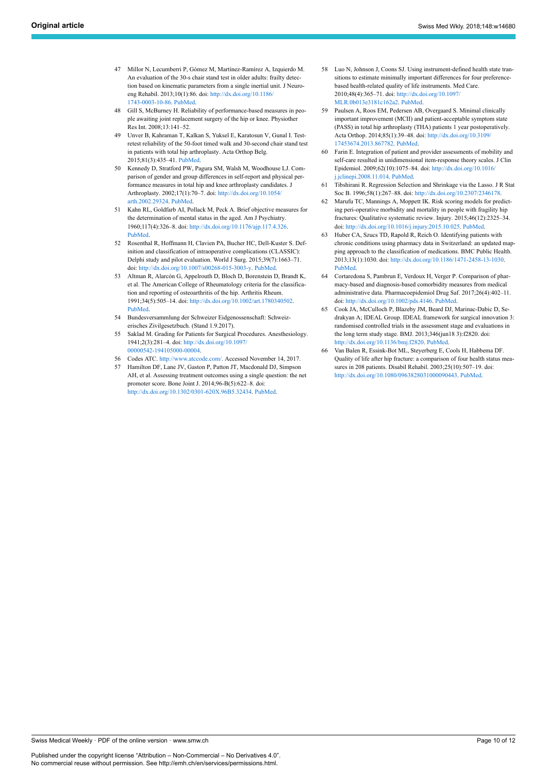- <span id="page-9-9"></span>47 Millor N, Lecumberri P, Gómez M, Martínez-Ramírez A, Izquierdo M. An evaluation of the 30-s chair stand test in older adults: frailty detection based on kinematic parameters from a single inertial unit. J Neuroeng Rehabil. 2013;10(1):86. doi: [http://dx.doi.org/10.1186/](http://dx.doi.org/10.1186/1743-0003-10-86) [1743-0003-10-86](http://dx.doi.org/10.1186/1743-0003-10-86). [PubMed](http://www.ncbi.nlm.nih.gov/entrez/query.fcgi?cmd=Retrieve&db=PubMed&list_uids=24059755&dopt=Abstract).
- <span id="page-9-10"></span>48 Gill S, McBurney H. Reliability of performance‐based measures in people awaiting joint replacement surgery of the hip or knee. Physiother Res Int. 2008;13:141–52.
- <span id="page-9-11"></span><span id="page-9-0"></span>49 Unver B, Kahraman T, Kalkan S, Yuksel E, Karatosun V, Gunal I. Testretest reliability of the 50-foot timed walk and 30-second chair stand test in patients with total hip arthroplasty. Acta Orthop Belg. 2015;81(3):435–41. [PubMed](http://www.ncbi.nlm.nih.gov/entrez/query.fcgi?cmd=Retrieve&db=PubMed&list_uids=26435238&dopt=Abstract).
- <span id="page-9-12"></span><span id="page-9-1"></span>50 Kennedy D, Stratford PW, Pagura SM, Walsh M, Woodhouse LJ. Comparison of gender and group differences in self-report and physical performance measures in total hip and knee arthroplasty candidates. J Arthroplasty. 2002;17(1):70–7. doi: [http://dx.doi.org/10.1054/](http://dx.doi.org/10.1054/arth.2002.29324) [arth.2002.29324](http://dx.doi.org/10.1054/arth.2002.29324). [PubMed](http://www.ncbi.nlm.nih.gov/entrez/query.fcgi?cmd=Retrieve&db=PubMed&list_uids=11805928&dopt=Abstract).
- <span id="page-9-13"></span><span id="page-9-2"></span>51 Kahn RL, Goldfarb AI, Pollack M, Peck A. Brief objective measures for the determination of mental status in the aged. Am J Psychiatry. 1960;117(4):326–8. doi: <http://dx.doi.org/10.1176/ajp.117.4.326>. [PubMed.](http://www.ncbi.nlm.nih.gov/entrez/query.fcgi?cmd=Retrieve&db=PubMed&list_uids=13750753&dopt=Abstract)
- <span id="page-9-14"></span><span id="page-9-3"></span>52 Rosenthal R, Hoffmann H, Clavien PA, Bucher HC, Dell-Kuster S. Definition and classification of intraoperative complications (CLASSIC): Delphi study and pilot evaluation. World J Surg. 2015;39(7):1663–71. doi: [http://dx.doi.org/10.1007/s00268-015-3003-y.](http://dx.doi.org/10.1007/s00268-015-3003-y) [PubMed](http://www.ncbi.nlm.nih.gov/entrez/query.fcgi?cmd=Retrieve&db=PubMed&list_uids=25665678&dopt=Abstract).
- <span id="page-9-4"></span>53 Altman R, Alarcón G, Appelrouth D, Bloch D, Borenstein D, Brandt K, et al. The American College of Rheumatology criteria for the classification and reporting of osteoarthritis of the hip. Arthritis Rheum. 1991;34(5):505–14. doi: [http://dx.doi.org/10.1002/art.1780340502.](http://dx.doi.org/10.1002/art.1780340502) [PubMed.](http://www.ncbi.nlm.nih.gov/entrez/query.fcgi?cmd=Retrieve&db=PubMed&list_uids=2025304&dopt=Abstract)
- <span id="page-9-15"></span><span id="page-9-5"></span>54 Bundesversammlung der Schweizer Eidgenossenschaft: Schweizerisches Zivilgesetzbuch. (Stand 1.9.2017).
- <span id="page-9-16"></span><span id="page-9-7"></span>55 Saklad M. Grading for Patients for Surgical Procedures. Anesthesiology. 1941;2(3):281–4. doi: [http://dx.doi.org/10.1097/](http://dx.doi.org/10.1097/00000542-194105000-00004) [00000542-194105000-00004.](http://dx.doi.org/10.1097/00000542-194105000-00004)
- 56 Codes ATC. <http://www.atccode.com/>. Accessed November 14, 2017.
- <span id="page-9-8"></span><span id="page-9-6"></span>57 Hamilton DF, Lane JV, Gaston P, Patton JT, Macdonald DJ, Simpson AH, et al. Assessing treatment outcomes using a single question: the net promoter score. Bone Joint J. 2014;96-B(5):622–8. doi: [http://dx.doi.org/10.1302/0301-620X.96B5.32434.](http://dx.doi.org/10.1302/0301-620X.96B5.32434) [PubMed](http://www.ncbi.nlm.nih.gov/entrez/query.fcgi?cmd=Retrieve&db=PubMed&list_uids=24788496&dopt=Abstract).
- 58 Luo N, Johnson J, Coons SJ. Using instrument-defined health state transitions to estimate minimally important differences for four preferencebased health-related quality of life instruments. Med Care. 2010;48(4):365–71. doi: [http://dx.doi.org/10.1097/](http://dx.doi.org/10.1097/MLR.0b013e3181c162a2) [MLR.0b013e3181c162a2](http://dx.doi.org/10.1097/MLR.0b013e3181c162a2). [PubMed.](http://www.ncbi.nlm.nih.gov/entrez/query.fcgi?cmd=Retrieve&db=PubMed&list_uids=20355266&dopt=Abstract)
- Paulsen A, Roos EM, Pedersen AB, Overgaard S. Minimal clinically important improvement (MCII) and patient-acceptable symptom state (PASS) in total hip arthroplasty (THA) patients 1 year postoperatively. Acta Orthop. 2014;85(1):39–48. doi: [http://dx.doi.org/10.3109/](http://dx.doi.org/10.3109/17453674.2013.867782) [17453674.2013.867782](http://dx.doi.org/10.3109/17453674.2013.867782). [PubMed.](http://www.ncbi.nlm.nih.gov/entrez/query.fcgi?cmd=Retrieve&db=PubMed&list_uids=24286564&dopt=Abstract)
- Farin E. Integration of patient and provider assessments of mobility and self-care resulted in unidimensional item-response theory scales. J Clin Epidemiol. 2009;62(10):1075–84. doi: [http://dx.doi.org/10.1016/](http://dx.doi.org/10.1016/j.jclinepi.2008.11.014) [j.jclinepi.2008.11.014](http://dx.doi.org/10.1016/j.jclinepi.2008.11.014). [PubMed](http://www.ncbi.nlm.nih.gov/entrez/query.fcgi?cmd=Retrieve&db=PubMed&list_uids=19282149&dopt=Abstract).
- 61 Tibshirani R. Regression Selection and Shrinkage via the Lasso. J R Stat Soc B. 1996;58(1):267–88. doi: [http://dx.doi.org/10.2307/2346178.](http://dx.doi.org/10.2307/2346178)
- 62 Marufu TC, Mannings A, Moppett IK. Risk scoring models for predicting peri-operative morbidity and mortality in people with fragility hip fractures: Qualitative systematic review. Injury. 2015;46(12):2325–34. doi: [http://dx.doi.org/10.1016/j.injury.2015.10.025.](http://dx.doi.org/10.1016/j.injury.2015.10.025) [PubMed.](http://www.ncbi.nlm.nih.gov/entrez/query.fcgi?cmd=Retrieve&db=PubMed&list_uids=26553425&dopt=Abstract)
- 63 Huber CA, Szucs TD, Rapold R, Reich O. Identifying patients with chronic conditions using pharmacy data in Switzerland: an updated mapping approach to the classification of medications. BMC Public Health. 2013;13(1):1030. doi: <http://dx.doi.org/10.1186/1471-2458-13-1030>. [PubMed](http://www.ncbi.nlm.nih.gov/entrez/query.fcgi?cmd=Retrieve&db=PubMed&list_uids=24172142&dopt=Abstract).
- 64 Cortaredona S, Pambrun E, Verdoux H, Verger P. Comparison of pharmacy-based and diagnosis-based comorbidity measures from medical administrative data. Pharmacoepidemiol Drug Saf. 2017;26(4):402–11. doi: <http://dx.doi.org/10.1002/pds.4146>. [PubMed.](http://www.ncbi.nlm.nih.gov/entrez/query.fcgi?cmd=Retrieve&db=PubMed&list_uids=27910177&dopt=Abstract)
- 65 Cook JA, McCulloch P, Blazeby JM, Beard DJ, Marinac-Dabic D, Sedrakyan A; IDEAL Group. IDEAL framework for surgical innovation 3: randomised controlled trials in the assessment stage and evaluations in the long term study stage. BMJ. 2013;346(jun18 3):f2820. doi: <http://dx.doi.org/10.1136/bmj.f2820>. [PubMed.](http://www.ncbi.nlm.nih.gov/entrez/query.fcgi?cmd=Retrieve&db=PubMed&list_uids=23778425&dopt=Abstract)
- 66 Van Balen R, Essink-Bot ML, Steyerberg E, Cools H, Habbema DF. Quality of life after hip fracture: a comparison of four health status measures in 208 patients. Disabil Rehabil. 2003;25(10):507–19. doi: [http://dx.doi.org/10.1080/0963828031000090443.](http://dx.doi.org/10.1080/0963828031000090443) [PubMed](http://www.ncbi.nlm.nih.gov/entrez/query.fcgi?cmd=Retrieve&db=PubMed&list_uids=12745962&dopt=Abstract).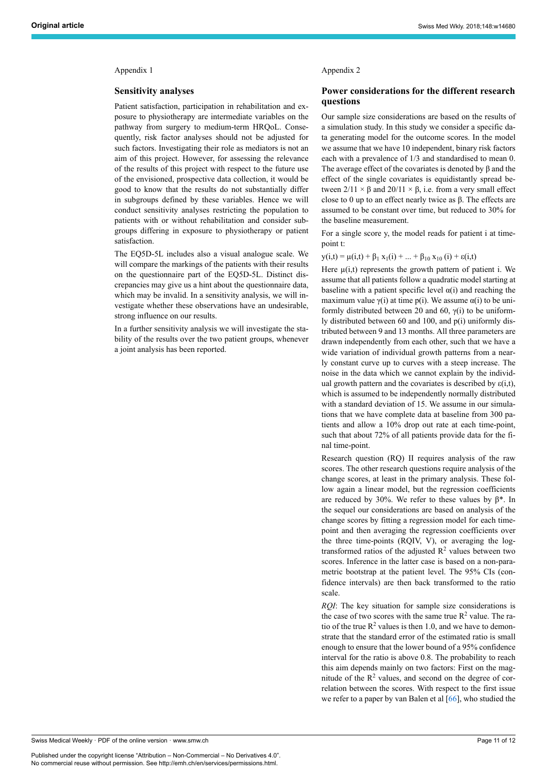#### Appendix 1

#### **Sensitivity analyses**

Patient satisfaction, participation in rehabilitation and exposure to physiotherapy are intermediate variables on the pathway from surgery to medium-term HRQoL. Consequently, risk factor analyses should not be adjusted for such factors. Investigating their role as mediators is not an aim of this project. However, for assessing the relevance of the results of this project with respect to the future use of the envisioned, prospective data collection, it would be good to know that the results do not substantially differ in subgroups defined by these variables. Hence we will conduct sensitivity analyses restricting the population to patients with or without rehabilitation and consider subgroups differing in exposure to physiotherapy or patient satisfaction.

The EQ5D-5L includes also a visual analogue scale. We will compare the markings of the patients with their results on the questionnaire part of the EQ5D-5L. Distinct discrepancies may give us a hint about the questionnaire data, which may be invalid. In a sensitivity analysis, we will investigate whether these observations have an undesirable, strong influence on our results.

In a further sensitivity analysis we will investigate the stability of the results over the two patient groups, whenever a joint analysis has been reported.

#### Appendix 2

#### **Power considerations for the different research questions**

Our sample size considerations are based on the results of a simulation study. In this study we consider a specific data generating model for the outcome scores. In the model we assume that we have 10 independent, binary risk factors each with a prevalence of 1/3 and standardised to mean 0. The average effect of the covariates is denoted by  $\beta$  and the effect of the single covariates is equidistantly spread between  $2/11 \times \beta$  and  $20/11 \times \beta$ , i.e. from a very small effect close to 0 up to an effect nearly twice as  $β$ . The effects are assumed to be constant over time, but reduced to 30% for the baseline measurement.

For a single score y, the model reads for patient i at timepoint t:

$$
y(i,t) = \mu(i,t) + \beta_1 x_1(i) + ... + \beta_{10} x_{10} (i) + \epsilon(i,t)
$$

Here  $\mu(i,t)$  represents the growth pattern of patient i. We assume that all patients follow a quadratic model starting at baseline with a patient specific level  $\alpha(i)$  and reaching the maximum value  $\gamma(i)$  at time p(i). We assume  $\alpha(i)$  to be uniformly distributed between 20 and 60, γ(i) to be uniformly distributed between 60 and 100, and p(i) uniformly distributed between 9 and 13 months. All three parameters are drawn independently from each other, such that we have a wide variation of individual growth patterns from a nearly constant curve up to curves with a steep increase. The noise in the data which we cannot explain by the individual growth pattern and the covariates is described by  $\varepsilon(i,t)$ , which is assumed to be independently normally distributed with a standard deviation of 15. We assume in our simulations that we have complete data at baseline from 300 patients and allow a 10% drop out rate at each time-point, such that about 72% of all patients provide data for the final time-point.

Research question (RQ) II requires analysis of the raw scores. The other research questions require analysis of the change scores, at least in the primary analysis. These follow again a linear model, but the regression coefficients are reduced by 30%. We refer to these values by  $β*$ . In the sequel our considerations are based on analysis of the change scores by fitting a regression model for each timepoint and then averaging the regression coefficients over the three time-points (RQIV, V), or averaging the logtransformed ratios of the adjusted  $\mathbb{R}^2$  values between two scores. Inference in the latter case is based on a non-parametric bootstrap at the patient level. The 95% CIs (confidence intervals) are then back transformed to the ratio scale.

*RQI*: The key situation for sample size considerations is the case of two scores with the same true  $R^2$  value. The ratio of the true  $R^2$  values is then 1.0, and we have to demonstrate that the standard error of the estimated ratio is small enough to ensure that the lower bound of a 95% confidence interval for the ratio is above 0.8. The probability to reach this aim depends mainly on two factors: First on the magnitude of the  $R<sup>2</sup>$  values, and second on the degree of correlation between the scores. With respect to the first issue we refer to a paper by van Balen et al  $[66]$  $[66]$ , who studied the